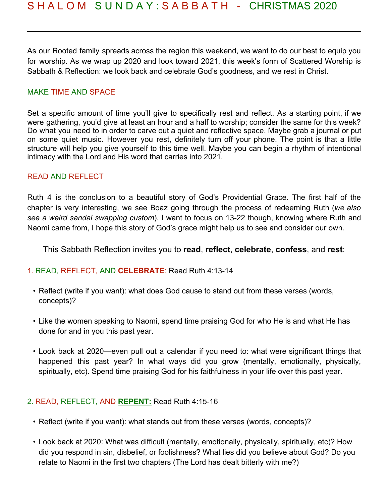As our Rooted family spreads across the region this weekend, we want to do our best to equip you for worship. As we wrap up 2020 and look toward 2021, this week's form of Scattered Worship is Sabbath & Reflection: we look back and celebrate God's goodness, and we rest in Christ.

## MAKE TIME AND SPACE

Set a specific amount of time you'll give to specifically rest and reflect. As a starting point, if we were gathering, you'd give at least an hour and a half to worship; consider the same for this week? Do what you need to in order to carve out a quiet and reflective space. Maybe grab a journal or put on some quiet music. However you rest, definitely turn off your phone. The point is that a little structure will help you give yourself to this time well. Maybe you can begin a rhythm of intentional intimacy with the Lord and His word that carries into 2021.

## READ AND REFLECT

Ruth 4 is the conclusion to a beautiful story of God's Providential Grace. The first half of the chapter is very interesting, we see Boaz going through the process of redeeming Ruth (*we also see a weird sandal swapping custom*). I want to focus on 13-22 though, knowing where Ruth and Naomi came from, I hope this story of God's grace might help us to see and consider our own.

This Sabbath Reflection invites you to **read**, **reflect**, **celebrate**, **confess**, and **rest**:

#### 1. READ, REFLECT, AND **CELEBRATE**: Read Ruth 4:13-14

- Reflect (write if you want): what does God cause to stand out from these verses (words, concepts)?
- Like the women speaking to Naomi, spend time praising God for who He is and what He has done for and in you this past year.
- Look back at 2020—even pull out a calendar if you need to: what were significant things that happened this past year? In what ways did you grow (mentally, emotionally, physically, spiritually, etc). Spend time praising God for his faithfulness in your life over this past year.

#### 2. READ, REFLECT, AND **REPENT:** Read Ruth 4:15-16

- Reflect (write if you want): what stands out from these verses (words, concepts)?
- Look back at 2020: What was difficult (mentally, emotionally, physically, spiritually, etc)? How did you respond in sin, disbelief, or foolishness? What lies did you believe about God? Do you relate to Naomi in the first two chapters (The Lord has dealt bitterly with me?)